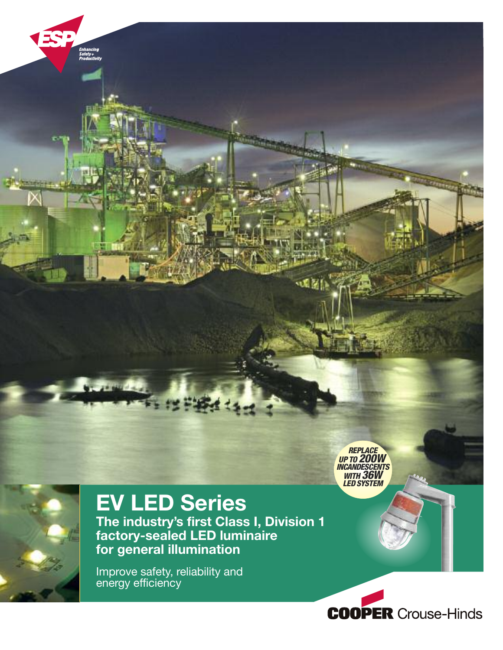

# **EV LED Series**

**The industry's first Class I, Division 1 factory-sealed LED luminaire for general illumination**

Improve safety, reliability and energy efficiency



*REPLACE UP TO 200W*

观图

*INCANDESCENTS WITH 36W LED SYSTEM*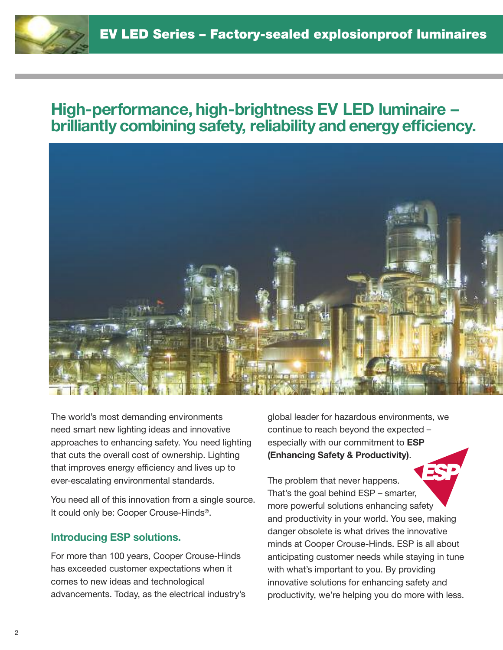# **High-performance, high-brightness EV LED luminaire – brilliantly combining safety, reliability and energy efficiency.**



The world's most demanding environments need smart new lighting ideas and innovative approaches to enhancing safety. You need lighting that cuts the overall cost of ownership. Lighting that improves energy efficiency and lives up to ever-escalating environmental standards.

You need all of this innovation from a single source. It could only be: Cooper Crouse-Hinds®.

#### **Introducing ESP solutions.**

For more than 100 years, Cooper Crouse-Hinds has exceeded customer expectations when it comes to new ideas and technological advancements. Today, as the electrical industry's global leader for hazardous environments, we continue to reach beyond the expected – especially with our commitment to **ESP (Enhancing Safety & Productivity)**.

The problem that never happens. That's the goal behind ESP – smarter, more powerful solutions enhancing safety and productivity in your world. You see, making danger obsolete is what drives the innovative minds at Cooper Crouse-Hinds. ESP is all about anticipating customer needs while staying in tune with what's important to you. By providing innovative solutions for enhancing safety and productivity, we're helping you do more with less.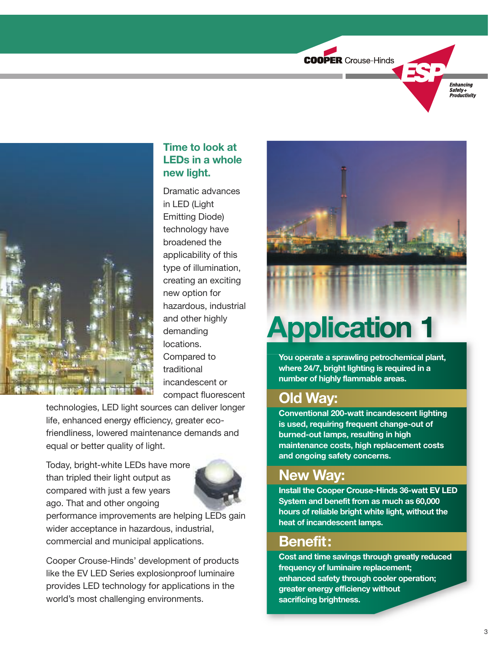



# **Time to look at LEDs in a whole new light.**

Dramatic advances in LED (Light Emitting Diode) technology have broadened the applicability of this type of illumination, creating an exciting new option for hazardous, industrial and other highly demanding locations. Compared to traditional incandescent or compact fluorescent

technologies, LED light sources can deliver longer life, enhanced energy efficiency, greater ecofriendliness, lowered maintenance demands and equal or better quality of light.

Today, bright-white LEDs have more than tripled their light output as compared with just a few years ago. That and other ongoing



performance improvements are helping LEDs gain wider acceptance in hazardous, industrial, commercial and municipal applications.

Cooper Crouse-Hinds' development of products like the EV LED Series explosionproof luminaire provides LED technology for applications in the world's most challenging environments.



# **Application 1**

**You operate a sprawling petrochemical plant, where 24/7, bright lighting is required in a number of highly flammable areas.**

# **Old Way:**

**Conventional 200-watt incandescent lighting is used, requiring frequent change-out of burned-out lamps, resulting in high maintenance costs, high replacement costs and ongoing safety concerns.**

# **New Way:**

**Install the Cooper Crouse-Hinds 36-watt EV LED System and benefit from as much as 60,000 hours of reliable bright white light, without the heat of incandescent lamps.**

# **Benefit:**

**Cost and time savings through greatly reduced frequency of luminaire replacement; enhanced safety through cooler operation; greater energy efficiency without sacrificing brightness.**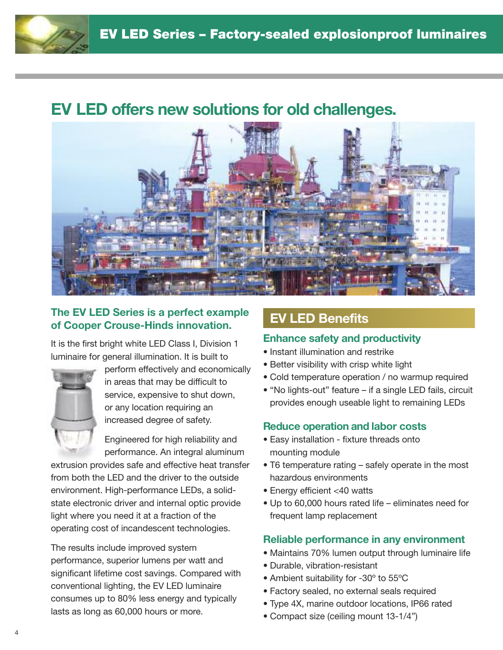# **EV LED offers new solutions for old challenges.**



## **The EV LED Series is a perfect example of Cooper Crouse-Hinds innovation.**

It is the first bright white LED Class I, Division 1 luminaire for general illumination. It is built to



perform effectively and economically in areas that may be difficult to service, expensive to shut down, or any location requiring an increased degree of safety.

Engineered for high reliability and performance. An integral aluminum

extrusion provides safe and effective heat transfer from both the LED and the driver to the outside environment. High-performance LEDs, a solidstate electronic driver and internal optic provide light where you need it at a fraction of the operating cost of incandescent technologies.

The results include improved system performance, superior lumens per watt and significant lifetime cost savings. Compared with conventional lighting, the EV LED luminaire consumes up to 80% less energy and typically lasts as long as 60,000 hours or more.

# **EV LED Benefits**

#### **Enhance safety and productivity**

- Instant illumination and restrike
- Better visibility with crisp white light
- Cold temperature operation / no warmup required
- "No lights-out" feature if a single LED fails, circuit provides enough useable light to remaining LEDs

## **Reduce operation and labor costs**

- Easy installation fixture threads onto mounting module
- T6 temperature rating safely operate in the most hazardous environments
- Energy efficient <40 watts
- Up to 60,000 hours rated life eliminates need for frequent lamp replacement

## **Reliable performance in any environment**

- Maintains 70% lumen output through luminaire life
- Durable, vibration-resistant
- Ambient suitability for -30º to 55ºC
- Factory sealed, no external seals required
- Type 4X, marine outdoor locations, IP66 rated
- Compact size (ceiling mount 13-1/4")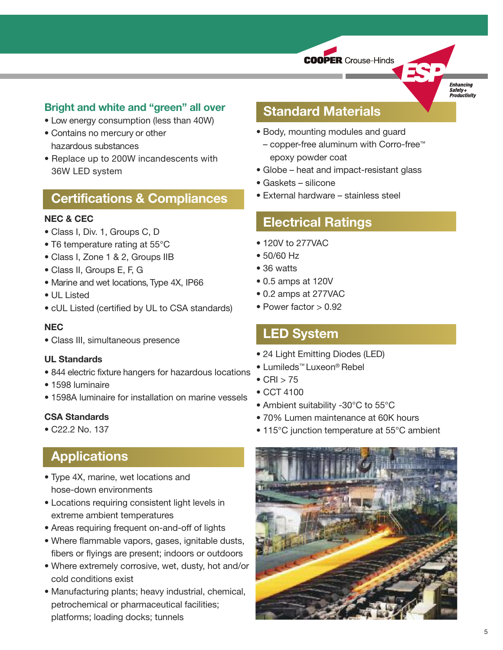**COOPER** Crouse-Hinds

**Enhancing** Safety+<br>Productivity

### **Bright and white and "green" all over**

- Low energy consumption (less than 40W)
- Contains no mercury or other hazardous substances
- Replace up to 200W incandescents with 36W LED system

# **Certifications & Compliances**

#### **NEC & CEC**

- Class I, Div. 1, Groups C, D
- T6 temperature rating at 55°C
- Class I, Zone 1 & 2, Groups IIB
- Class II, Groups E, F, G
- Marine and wet locations, Type 4X, IP66
- UL Listed
- cUL Listed (certified by UL to CSA standards)

#### **NEC**

• Class III, simultaneous presence

#### **UL Standards**

- 844 electric fixture hangers for hazardous locations
- 1598 luminaire
- 1598A luminaire for installation on marine vessels

#### **CSA Standards**

• C22.2 No. 137

# **Applications**

- Type 4X, marine, wet locations and hose-down environments
- Locations requiring consistent light levels in extreme ambient temperatures
- Areas requiring frequent on-and-off of lights
- Where flammable vapors, gases, ignitable dusts, fibers or flyings are present; indoors or outdoors
- Where extremely corrosive, wet, dusty, hot and/or cold conditions exist
- Manufacturing plants; heavy industrial, chemical, petrochemical or pharmaceutical facilities; platforms; loading docks; tunnels

# **Standard Materials**

- Body, mounting modules and guard
- copper-free aluminum with Corro-free™ epoxy powder coat
- Globe heat and impact-resistant glass
- Gaskets silicone
- External hardware stainless steel

# **Electrical Ratings**

- 120V to 277VAC
- 50/60 Hz
- 36 watts
- 0.5 amps at 120V
- 0.2 amps at 277VAC
- Power factor > 0.92

# **LED System**

- 24 Light Emitting Diodes (LED)
- Lumileds™ Luxeon® Rebel
- $\bullet$  CRI  $>$  75
- CCT 4100
- Ambient suitability -30°C to 55°C
- 70% Lumen maintenance at 60K hours
- 115°C junction temperature at 55°C ambient

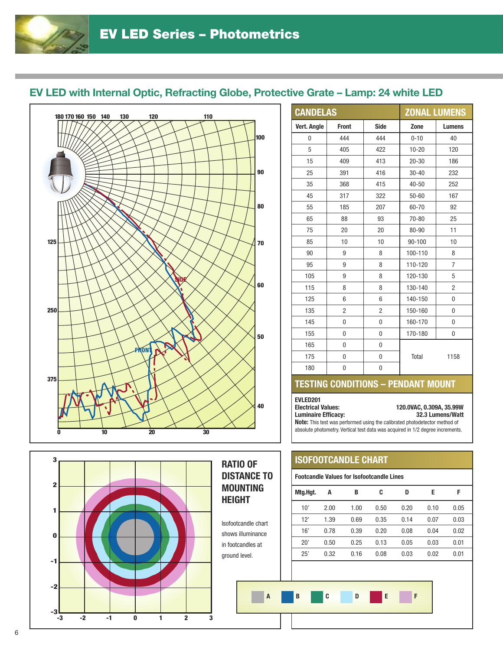## **EV LED with Internal Optic, Refracting Globe, Protective Grate – Lamp: 24 white LED**



| 3<br>$\mathbf{2}$ |                   | <b>RATIO OF</b><br><b>DISTANCE TO</b>    |
|-------------------|-------------------|------------------------------------------|
| 1                 |                   | <b>MOUNTING</b><br><b>HEIGHT</b>         |
| $\bf{0}$          |                   | Isofootcandle chart<br>shows illuminance |
| $-1$              |                   | in footcandles at<br>ground level.       |
| $-2$              |                   |                                          |
| -3<br>-3          | $-2$<br>0<br>$-1$ | $\overline{A}$<br>$\overline{2}$<br>3    |

|                | <b>CANDELAS</b> |                |            | <b>ZONAL LUMENS</b> |
|----------------|-----------------|----------------|------------|---------------------|
| Vert. Angle    | <b>Front</b>    | <b>Side</b>    | Zone       | <b>Lumens</b>       |
| $\overline{0}$ | 444             | 444            | $0 - 10$   | 40                  |
| 5              | 405             | 422            | $10 - 20$  | 120                 |
| 15             | 409             | 413            | $20 - 30$  | 186                 |
| 25             | 391             | 416            | $30 - 40$  | 232                 |
| 35             | 368             | 415            | $40 - 50$  | 252                 |
| 45             | 317             | 322            | $50 - 60$  | 167                 |
| 55             | 185             | 207            | 60-70      | 92                  |
| 65             | 88              | 93             | 70-80      | 25                  |
| 75             | 20              | 20             | 80-90      | 11                  |
| 85             | 10              | 10             | $90 - 100$ | 10                  |
| 90             | 9               | 8              | 100-110    | 8                   |
| 95             | 9               | 8              | 110-120    | $\overline{7}$      |
| 105            | 9               | 8              | 120-130    | 5                   |
| 115            | 8               | 8              | 130-140    | $\overline{c}$      |
| 125            | 6               | 6              | 140-150    | 0                   |
| 135            | $\overline{c}$  | $\overline{2}$ | 150-160    | 0                   |
| 145            | 0               | 0              | 160-170    | 0                   |
| 155            | $\overline{0}$  | $\overline{0}$ | 170-180    | 0                   |
| 165            | 0               | 0              |            |                     |
| 175            | 0               | 0              | Total      | 1158                |
| 180            | 0               | 0              |            |                     |

#### **TESTING CONDITIONS – PENDANT MOUNT**

**EVLED201**

**Electrical Values: 120.0VAC, 0.309A, 35.99W Luminaire Efficacy: 32.3 Lumens/Watt**

**Note:** This test was performed using the calibrated photodetector method of absolute photometry. Vertical test data was acquired in 1/2 degree increments.

#### **ISOFOOTCANDLE CHART**

#### **Footcandle Values for Isofootcandle Lines**

| Mtg.Hgt. | Α    | B    | C    | D    | E    | F    |
|----------|------|------|------|------|------|------|
| 10'      | 2.00 | 1.00 | 0.50 | 0.20 | 0.10 | 0.05 |
| 12'      | 1.39 | 0.69 | 0.35 | 0.14 | 0.07 | 0.03 |
| 16'      | 0.78 | 0.39 | 0.20 | 0.08 | 0.04 | 0.02 |
| 20'      | 0.50 | 0.25 | 0.13 | 0.05 | 0.03 | 0.01 |
| 25'      | 0.32 | 0.16 | 0.08 | 0.03 | 0.02 | 0.01 |
|          |      |      |      |      |      |      |

# **ABCDEF**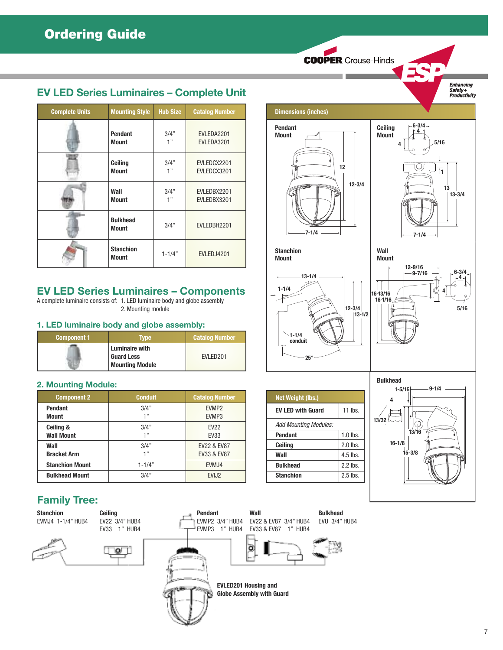**COOPER Crouse-Hinds** 

*Enhancing<br>Safety+<br>Productivity* 

## **EV LED Series Luminaires – Complete Unit**

| <b>Complete Units</b> | <b>Mounting Style</b>            | <b>Hub Size</b> | <b>Catalog Number</b> |
|-----------------------|----------------------------------|-----------------|-----------------------|
|                       | <b>Pendant</b>                   | 3/4"            | EVLEDA2201            |
|                       | <b>Mount</b>                     | 1"              | EVLEDA3201            |
|                       | Ceiling                          | 3/4"            | EVLEDCX2201           |
|                       | <b>Mount</b>                     | 1"              | EVLEDCX3201           |
|                       | Wall                             | 3/4"            | EVLEDBX2201           |
|                       | <b>Mount</b>                     | 1"              | EVLEDBX3201           |
|                       | <b>Bulkhead</b><br><b>Mount</b>  | 3/4"            | EVLEDBH2201           |
|                       | <b>Stanchion</b><br><b>Mount</b> | $1 - 1/4"$      | EVLEDJ4201            |

# **EV LED Series Luminaires – Components**

A complete luminaire consists of: 1. LED luminaire body and globe assembly 2. Mounting module

#### **1. LED luminaire body and globe assembly:**

| Component 1 | Tvpe                                                          | <b>Catalog Number</b> |
|-------------|---------------------------------------------------------------|-----------------------|
|             | Luminaire with<br><b>Guard Less</b><br><b>Mounting Module</b> | FVI FD <sub>201</sub> |

#### **2. Mounting Module:**

| <b>Component 2</b>     | <b>Conduit</b> | <b>Catalog Number</b> |
|------------------------|----------------|-----------------------|
| <b>Pendant</b>         | 3/4"           | EVMP <sub>2</sub>     |
| <b>Mount</b>           | $-1, 33$       | EVMP3                 |
| Ceiling &              | 3/4"           | <b>EV22</b>           |
| <b>Wall Mount</b>      | -1 33          | <b>EV33</b>           |
| Wall                   | 3/4"           | EV22 & EV87           |
| <b>Bracket Arm</b>     | $-1, 33$       | EV33 & EV87           |
| <b>Stanchion Mount</b> | $1 - 1/4"$     | EVMJ4                 |
| <b>Bulkhead Mount</b>  | 3/4"           | EVIJ <sub>2</sub>     |

## **Family Tree:**

**Stanchion** EVMJ4 1-1/4" HUB4





**Ceiling**



**Pendant** EVMP2 3/4" HUB4

> **EVLED201 Housing and Globe Assembly with Guard**

**Wall**

ö

EV22 & EV87 3/4" HUB4 EV33 & EV87 1" HUB4



| <b>Net Weight (lbs.)</b>     |             |
|------------------------------|-------------|
| <b>EV LED with Guard</b>     | 11 $\ln$ s. |
| <b>Add Mounting Modules:</b> |             |
| <b>Pendant</b>               | $1.0$ lbs.  |
| Ceiling                      | $2.0$ lbs.  |
| Wall                         | $4.5$ lbs.  |
| <b>Bulkhead</b>              | $2.2$ lbs.  |
| <b>Stanchion</b>             | $2.5$ lbs.  |

**25°**

**Bulkhead** EVU 3/4" HUB4